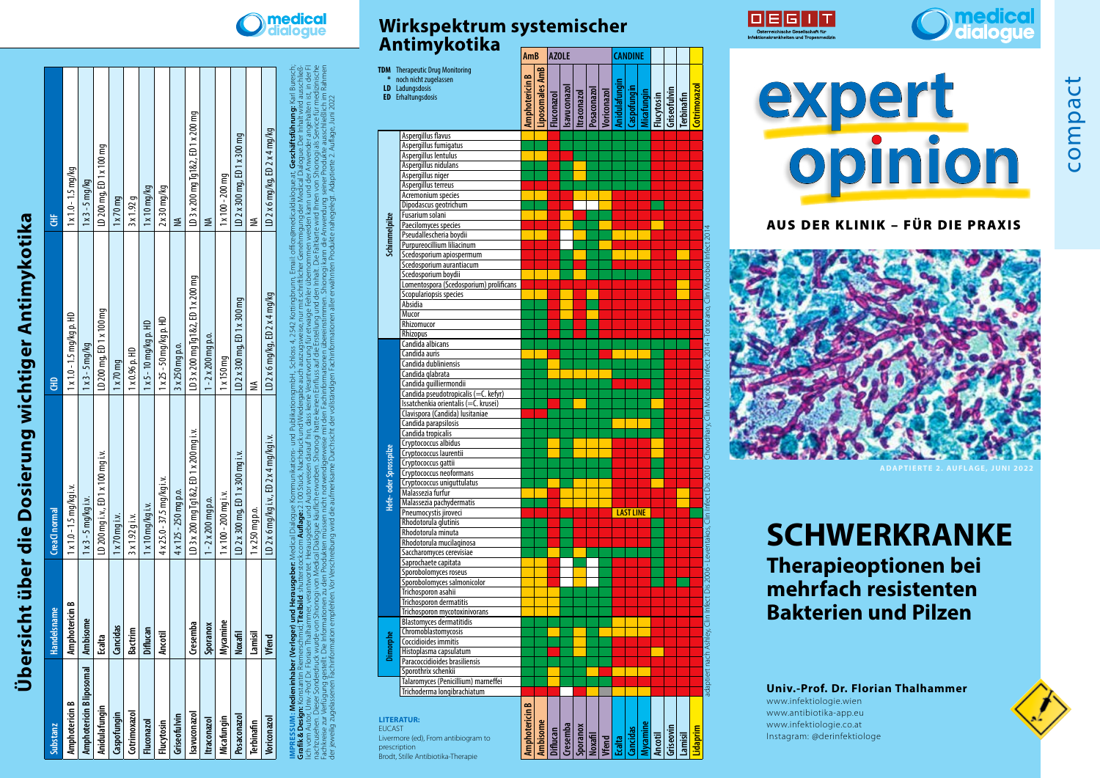## **Übersicht über die Dosierung wichtiger Antimykotika**  Übersicht über die Dosierung wichtiger Antimykotika

| Substanz                 | Handelsname    | CreaCl normal                           | 웋                                  | Ë                                  |
|--------------------------|----------------|-----------------------------------------|------------------------------------|------------------------------------|
| mphotericin B            | Amphotericin B | $1 \times 1.0 - 1.5$ mg/kg i.v.         | $1 \times 1.0 - 1.5$ mg/kg p. HD   | $1 \times 1.0 - 1.5$ mg/kg         |
| Amphotericin B liposomal | Ambisome       | $1 x 3 - 5 mg/kg$ i.v.                  | $1 \times 3 - 5$ mg/kg             | $1 \times 3 - 5$ mg/kg             |
| nidulafungin             | Ecalta         | D 200 mg i.v., ED 1 x 100 mg i.v.       | LD 200 mg, ED 1 x 100 mg           | LD 200 mg, ED 1 x 100 mg           |
| Caspofungin              | Cancidas       | $1 x 70$ mq i.v.                        | 1 x 70 mg                          | 1 x 70 mg                          |
| Cotrimoxazo              | ıctrim<br>డ    | $3x1.92q$ i.v.                          | $1 \times 0.96$ p. HD              | 3x1.92q                            |
| luconazol                | iflucan        | $1 x 10 mg/kg$ i.v.                     | $1 x 5 - 10$ mg/kg p. HD           | $1 \times 10$ mg/kg                |
| Flucytosin               | Ancotil        | $4 \times 25.0 - 37.5$ mg/kg i.v.       | $1 \times 25 - 50$ mg/kg p. HD     | $2 \times 30$ mg/kg                |
| Griseofulvin             |                | 4 x 125 - 250 mg p.o.                   | 3 x 250 mg p.o.                    | ≸                                  |
| <b>Isavuconazo</b>       | Cresemba       | .D 3 x 200 mq Tq1&2, ED 1 x 200 mq i.v. | LD 3 x 200 mg Tg1&2, ED 1 x 200 mg | LD 3 x 200 mg Tg1&2, ED 1 x 200 mg |
| traconazol               | Sporanox       | $1 - 2 \times 200$ mg p.o.              | $1 - 2 \times 200$ mg p.o.         |                                    |
| Micafungin               | ycamine        | $1 \times 100 - 200$ mg i.v.            | $1 \times 150$ mq                  | $1 \times 100 - 200$ mg            |
| Posaconazo               | <b>Noxafil</b> | $D$ 2 x 300 mg, ED 1 x 300 mg i.v.      | LD 2 x 300 mg, ED 1 x 300 mg       | LD 2 x 300 mg, ED 1 x 300 mg       |
| <b>Terbinafin</b>        | Lamisil        | 1 x 250 mg p.o.                         | ≸                                  | ≸                                  |
| Voriconazol              | Vfend          | D 2 x 6 mg/kg i.v., ED 2 x 4 mg/kg i.v. | LD 2 x 6 mg/kg, ED 2 x 4 mg/kg     | LD 2 x 6 mg/kg, ED 2 x 4 mg/kg     |

| ger) und Herausgeber Medical Dialogue Kommunikations- und PublikationsgmbH., Schloss 4, 2542 Kottingbrunn, Email: office@medicaldialogue.at, Geschäftsführung: Karl Buresch; | mid; T <b>itelbild:</b> shutterstock.com <b>Auflage:</b> 2.100 Stück, Nachdruck und Wiedergabe auch auszugsweise, nur mit schriftlicher Genehmigung der Medical Dialogue. Der Inhalt wird ausschließ- | alhammer, verantwortet. Herausgeber und Autor weisen darauf hin, dass keine Verantwortung für etwaige Fehler übernommen werden kann und der Anwender angehalten ist, in der Fl | le von Shionogi von Medical Dialogue käuflich erworben. Shionogi hatte keinen Einfluss auf die Erstellung und den Inhalt. Die Faltkarte wird Ihnen von Shionogi als Service für medizinische | nformationen zu den Produkten müssen nicht notwendigerweise mit den Fachinformationen übereinstimmen. Shionogi kann die Anwendung seiner Produkte ausschließlich im Rahmen | ion empfehlen. Vor Verschreibung wird die aufmerksame Durchsicht der vollständigen Fachinformationen aller erwähnten Produkte nahegelegt. Adaptierte 2. Auflage, Juni 2022 |  |  |  |
|------------------------------------------------------------------------------------------------------------------------------------------------------------------------------|-------------------------------------------------------------------------------------------------------------------------------------------------------------------------------------------------------|--------------------------------------------------------------------------------------------------------------------------------------------------------------------------------|----------------------------------------------------------------------------------------------------------------------------------------------------------------------------------------------|----------------------------------------------------------------------------------------------------------------------------------------------------------------------------|----------------------------------------------------------------------------------------------------------------------------------------------------------------------------|--|--|--|
|                                                                                                                                                                              |                                                                                                                                                                                                       |                                                                                                                                                                                |                                                                                                                                                                                              |                                                                                                                                                                            |                                                                                                                                                                            |  |  |  |
|                                                                                                                                                                              |                                                                                                                                                                                                       |                                                                                                                                                                                |                                                                                                                                                                                              |                                                                                                                                                                            |                                                                                                                                                                            |  |  |  |
|                                                                                                                                                                              |                                                                                                                                                                                                       |                                                                                                                                                                                |                                                                                                                                                                                              |                                                                                                                                                                            |                                                                                                                                                                            |  |  |  |
|                                                                                                                                                                              |                                                                                                                                                                                                       |                                                                                                                                                                                |                                                                                                                                                                                              |                                                                                                                                                                            |                                                                                                                                                                            |  |  |  |
|                                                                                                                                                                              |                                                                                                                                                                                                       |                                                                                                                                                                                |                                                                                                                                                                                              |                                                                                                                                                                            |                                                                                                                                                                            |  |  |  |
|                                                                                                                                                                              |                                                                                                                                                                                                       |                                                                                                                                                                                |                                                                                                                                                                                              |                                                                                                                                                                            |                                                                                                                                                                            |  |  |  |
|                                                                                                                                                                              |                                                                                                                                                                                                       |                                                                                                                                                                                |                                                                                                                                                                                              |                                                                                                                                                                            |                                                                                                                                                                            |  |  |  |
|                                                                                                                                                                              |                                                                                                                                                                                                       |                                                                                                                                                                                |                                                                                                                                                                                              |                                                                                                                                                                            |                                                                                                                                                                            |  |  |  |
|                                                                                                                                                                              |                                                                                                                                                                                                       |                                                                                                                                                                                |                                                                                                                                                                                              |                                                                                                                                                                            |                                                                                                                                                                            |  |  |  |
|                                                                                                                                                                              |                                                                                                                                                                                                       |                                                                                                                                                                                |                                                                                                                                                                                              |                                                                                                                                                                            |                                                                                                                                                                            |  |  |  |
|                                                                                                                                                                              |                                                                                                                                                                                                       |                                                                                                                                                                                |                                                                                                                                                                                              |                                                                                                                                                                            |                                                                                                                                                                            |  |  |  |
|                                                                                                                                                                              |                                                                                                                                                                                                       |                                                                                                                                                                                |                                                                                                                                                                                              |                                                                                                                                                                            |                                                                                                                                                                            |  |  |  |
|                                                                                                                                                                              |                                                                                                                                                                                                       |                                                                                                                                                                                |                                                                                                                                                                                              |                                                                                                                                                                            |                                                                                                                                                                            |  |  |  |
|                                                                                                                                                                              |                                                                                                                                                                                                       |                                                                                                                                                                                |                                                                                                                                                                                              |                                                                                                                                                                            |                                                                                                                                                                            |  |  |  |
|                                                                                                                                                                              |                                                                                                                                                                                                       |                                                                                                                                                                                |                                                                                                                                                                                              |                                                                                                                                                                            |                                                                                                                                                                            |  |  |  |
| PRESSUM: Medieninhaber (Verle                                                                                                                                                | rafik & Design: Konstantin Riemersch                                                                                                                                                                  | h vom Autor, Univ-Prof. Dr. Florian Tha.                                                                                                                                       | nachzusehen. Dieser Sonderdruck wurd                                                                                                                                                         | achkreise zur Verfügung gestellt. Die In                                                                                                                                   | ar jeweilig zugelassenen Fachin                                                                                                                                            |  |  |  |
|                                                                                                                                                                              |                                                                                                                                                                                                       |                                                                                                                                                                                |                                                                                                                                                                                              |                                                                                                                                                                            |                                                                                                                                                                            |  |  |  |
|                                                                                                                                                                              |                                                                                                                                                                                                       |                                                                                                                                                                                |                                                                                                                                                                                              |                                                                                                                                                                            |                                                                                                                                                                            |  |  |  |
|                                                                                                                                                                              |                                                                                                                                                                                                       |                                                                                                                                                                                |                                                                                                                                                                                              |                                                                                                                                                                            |                                                                                                                                                                            |  |  |  |
|                                                                                                                                                                              |                                                                                                                                                                                                       |                                                                                                                                                                                |                                                                                                                                                                                              |                                                                                                                                                                            |                                                                                                                                                                            |  |  |  |

**medica** 

|                       | Antimykotika                                                                                                                                                                                                                                                                                                                                                                                                                                                                                                                                                                                                                                                                                                                                | AmB                       |                | <b>AZOLE</b>    |             |            |             |                             |               | <b>CANDINE</b>   |                 |                |                                                       |                   |                     |
|-----------------------|---------------------------------------------------------------------------------------------------------------------------------------------------------------------------------------------------------------------------------------------------------------------------------------------------------------------------------------------------------------------------------------------------------------------------------------------------------------------------------------------------------------------------------------------------------------------------------------------------------------------------------------------------------------------------------------------------------------------------------------------|---------------------------|----------------|-----------------|-------------|------------|-------------|-----------------------------|---------------|------------------|-----------------|----------------|-------------------------------------------------------|-------------------|---------------------|
|                       | <b>TDM</b> Therapeutic Drug Monitoring<br>noch nicht zugelassen<br>LD Ladungsdosis<br><b>ED</b> Erhaltungsdosis                                                                                                                                                                                                                                                                                                                                                                                                                                                                                                                                                                                                                             | <b>Amphotericin B</b>     | iposomales AmB | Fluconazol      | savu conazo | traconazol | Posaconazol | Voriconazol                 | Anidulafungin | Caspofungin      |                 |                | <mark>Micafungin</mark><br>Flucytosin<br>Griseofulvin | <b>Terbinafin</b> | <b>.otrimoxazol</b> |
| Schimmelpilze         | Aspergillus flavus<br>Aspergillus fumigatus<br>Aspergillus lentulus<br>Aspergillus nidulans<br>Aspergillus niger<br>Aspergillus terreus<br>Acremonium species<br>Dipodascus geotrichum<br>Fusarium solani<br>Paecilomyces species<br>Pseudallescheria boydii<br>Purpureocillium liliacinum<br>Scedosporium apiospermum<br>Scedosporium aurantiacum<br>Scedosporium boydii<br>Lomentospora (Scedosporium) prolificans<br>Scopulariopsis species<br>Absidia                                                                                                                                                                                                                                                                                   |                           |                |                 |             |            |             |                             |               |                  |                 |                |                                                       |                   |                     |
| Hefe-oder Sprosspilze | Mucor<br>Rhizomucor<br><b>Rhizopus</b><br>Candida albicans<br>Candida auris<br>Candida dubliniensis<br>Candida glabrata<br>Candida guilliermondii<br>Candida pseudotropicalis (=C. kefyr)<br>Issatchenkia orientalis (=C. krusei)<br>Clavispora (Candida) lusitaniae<br>Candida parapsilosis<br>Candida tropicalis<br>Cryptococcus albidus<br>Cryptococcus laurentii<br>Cryptococcus gattii<br>Cryptococcus neoformans<br>Cryptococcus uniguttulatus<br>Malassezia furfur<br>Malassezia pachydermatis<br>Pneumocystis jiroveci<br>Rhodotorula glutinis<br>Rhodotorula minuta<br>Rhodotorula mucilaginosa<br>Saccharomyces cerevisiae<br>Saprochaete capitata<br>Sporobolomyces roseus<br>Sporobolomyces salmonicolor<br>Trichosporon asahii |                           |                |                 |             |            |             |                             |               | <b>LAST LINE</b> |                 |                |                                                       |                   |                     |
| <b>EUCAST</b>         | Trichosporon dermatitis<br>Trichosporon mycotoxinivorans<br><b>Blastomyces dermatitidis</b><br>Chromoblastomycosis<br>Coccidioides immitis<br>Histoplasma capsulatum<br>Paracoccidioides brasiliensis<br>Sporothrix schenkii<br>Talaromyces (Penicillium) marneffei<br>Trichoderma longibrachiatum<br><b>LITERATUR:</b><br>Livermore (ed), From antibiogram to<br>prescription                                                                                                                                                                                                                                                                                                                                                              | $\bullet$<br>Amphotericin | Ambisome       | <b>Diflucan</b> | Cresemba    |            |             | Sporanox<br>Noxafi<br>Vfend | Ecalta        | Cancidas         | <b>Aycamine</b> | <b>Ancotil</b> | Griseovin                                             | Lamisil           | <b>Idaprim</b>      |







AUS DER KLINIK – FÜR DIE PRAXIS



**SCHWERKRANKE**

**Therapieoptionen bei mehrfach resistenten Bakterien und Pilzen**

**Univ.-Prof. Dr. Florian Thalhammer**

www.infektiologie.wien www.antibiotika-app.eu www.infektiologie.co.at Instagram: @derinfektiologe